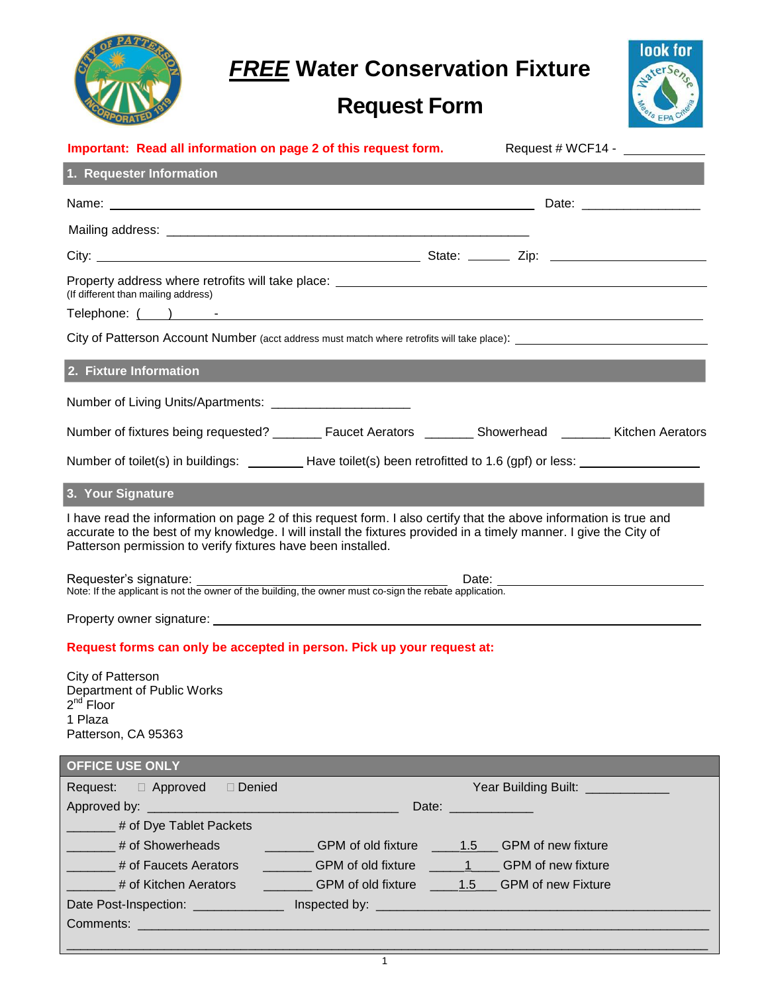*FREE* **Water Conservation Fixture**

# **Request Form**



| Important: Read all information on page 2 of this request form.                                                                                                                                                                                                                                        |                                    |
|--------------------------------------------------------------------------------------------------------------------------------------------------------------------------------------------------------------------------------------------------------------------------------------------------------|------------------------------------|
| 1. Requester Information                                                                                                                                                                                                                                                                               |                                    |
|                                                                                                                                                                                                                                                                                                        |                                    |
|                                                                                                                                                                                                                                                                                                        |                                    |
|                                                                                                                                                                                                                                                                                                        |                                    |
| (If different than mailing address)                                                                                                                                                                                                                                                                    |                                    |
|                                                                                                                                                                                                                                                                                                        |                                    |
| 2. Fixture Information                                                                                                                                                                                                                                                                                 |                                    |
| Number of Living Units/Apartments: ________________________                                                                                                                                                                                                                                            |                                    |
| Number of fixtures being requested? _______ Faucet Aerators _______ Showerhead ______ Kitchen Aerators                                                                                                                                                                                                 |                                    |
|                                                                                                                                                                                                                                                                                                        |                                    |
| 3. Your Signature                                                                                                                                                                                                                                                                                      |                                    |
| I have read the information on page 2 of this request form. I also certify that the above information is true and<br>accurate to the best of my knowledge. I will install the fixtures provided in a timely manner. I give the City of<br>Patterson permission to verify fixtures have been installed. |                                    |
| Requester's signature: Date: Date: Date: Date: Date: Londe: If the applicant is not the owner of the building, the owner must co-sign the rebate application.                                                                                                                                          |                                    |
|                                                                                                                                                                                                                                                                                                        |                                    |
|                                                                                                                                                                                                                                                                                                        |                                    |
| Request forms can only be accepted in person. Pick up your request at:                                                                                                                                                                                                                                 |                                    |
| City of Patterson<br>Department of Public Works<br>$2^{na}$ Floor<br>1 Plaza<br>Patterson, CA 95363                                                                                                                                                                                                    |                                    |
| <b>OFFICE USE ONLY</b>                                                                                                                                                                                                                                                                                 |                                    |
| Request: <b>Deproved</b> Denied                                                                                                                                                                                                                                                                        | Year Building Built: _____________ |
| <sup>#</sup> of Dye Tablet Packets                                                                                                                                                                                                                                                                     | Date: _______________              |
| 4 # of Showerheads The CPM of old fixture 1.5 CPM of new fixture                                                                                                                                                                                                                                       |                                    |
| # of Faucets Aerators __________GPM of old fixture _____1 ____GPM of new fixture                                                                                                                                                                                                                       |                                    |
| # of Kitchen Aerators __________GPM of old fixture _____1.5___GPM of new Fixture                                                                                                                                                                                                                       |                                    |
|                                                                                                                                                                                                                                                                                                        |                                    |
|                                                                                                                                                                                                                                                                                                        |                                    |
| $\mathbf{1}$                                                                                                                                                                                                                                                                                           |                                    |